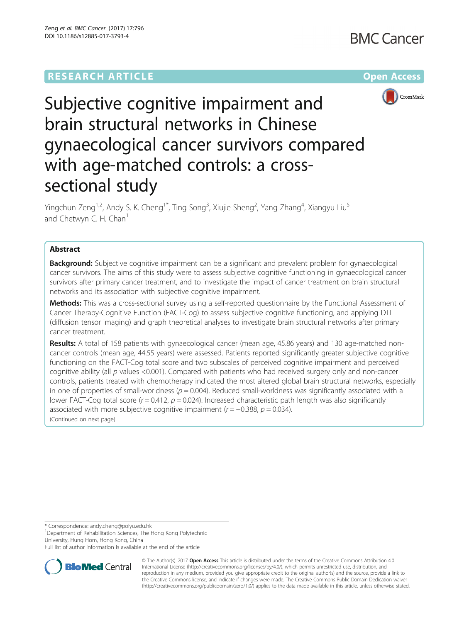

# Subjective cognitive impairment and brain structural networks in Chinese gynaecological cancer survivors compared with age-matched controls: a crosssectional study

Yingchun Zeng<sup>1,2</sup>, Andy S. K. Cheng<sup>1\*</sup>, Ting Song<sup>3</sup>, Xiujie Sheng<sup>2</sup>, Yang Zhang<sup>4</sup>, Xiangyu Liu<sup>5</sup> and Chetwyn C. H. Chan<sup>1</sup>

# Abstract

**Background:** Subjective cognitive impairment can be a significant and prevalent problem for gynaecological cancer survivors. The aims of this study were to assess subjective cognitive functioning in gynaecological cancer survivors after primary cancer treatment, and to investigate the impact of cancer treatment on brain structural networks and its association with subjective cognitive impairment.

Methods: This was a cross-sectional survey using a self-reported questionnaire by the Functional Assessment of Cancer Therapy-Cognitive Function (FACT-Cog) to assess subjective cognitive functioning, and applying DTI (diffusion tensor imaging) and graph theoretical analyses to investigate brain structural networks after primary cancer treatment.

Results: A total of 158 patients with gynaecological cancer (mean age, 45.86 years) and 130 age-matched noncancer controls (mean age, 44.55 years) were assessed. Patients reported significantly greater subjective cognitive functioning on the FACT-Cog total score and two subscales of perceived cognitive impairment and perceived cognitive ability (all  $p$  values <0.001). Compared with patients who had received surgery only and non-cancer controls, patients treated with chemotherapy indicated the most altered global brain structural networks, especially in one of properties of small-worldness ( $p = 0.004$ ). Reduced small-worldness was significantly associated with a lower FACT-Cog total score ( $r = 0.412$ ,  $p = 0.024$ ). Increased characteristic path length was also significantly associated with more subjective cognitive impairment ( $r = -0.388$ ,  $p = 0.034$ ). (Continued on next page)

\* Correspondence: [andy.cheng@polyu.edu.hk](mailto:andy.cheng@polyu.edu.hk) <sup>1</sup>

<sup>1</sup>Department of Rehabilitation Sciences, The Hong Kong Polytechnic University, Hung Hom, Hong Kong, China

Full list of author information is available at the end of the article



© The Author(s). 2017 **Open Access** This article is distributed under the terms of the Creative Commons Attribution 4.0 International License [\(http://creativecommons.org/licenses/by/4.0/](http://creativecommons.org/licenses/by/4.0/)), which permits unrestricted use, distribution, and reproduction in any medium, provided you give appropriate credit to the original author(s) and the source, provide a link to the Creative Commons license, and indicate if changes were made. The Creative Commons Public Domain Dedication waiver [\(http://creativecommons.org/publicdomain/zero/1.0/](http://creativecommons.org/publicdomain/zero/1.0/)) applies to the data made available in this article, unless otherwise stated.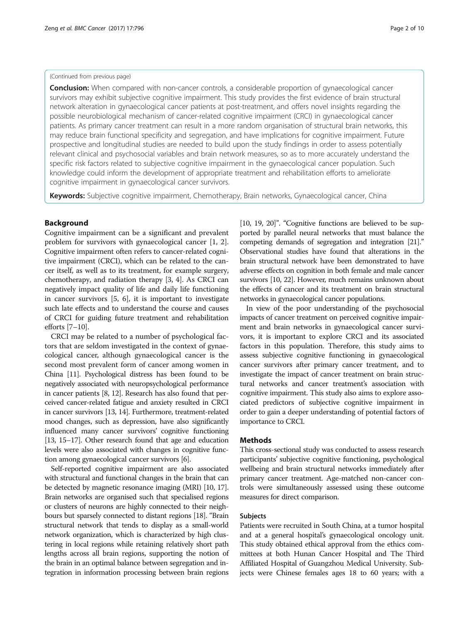# (Continued from previous page)

**Conclusion:** When compared with non-cancer controls, a considerable proportion of gynaecological cancer survivors may exhibit subjective cognitive impairment. This study provides the first evidence of brain structural network alteration in gynaecological cancer patients at post-treatment, and offers novel insights regarding the possible neurobiological mechanism of cancer-related cognitive impairment (CRCI) in gynaecological cancer patients. As primary cancer treatment can result in a more random organisation of structural brain networks, this may reduce brain functional specificity and segregation, and have implications for cognitive impairment. Future prospective and longitudinal studies are needed to build upon the study findings in order to assess potentially relevant clinical and psychosocial variables and brain network measures, so as to more accurately understand the specific risk factors related to subjective cognitive impairment in the gynaecological cancer population. Such knowledge could inform the development of appropriate treatment and rehabilitation efforts to ameliorate cognitive impairment in gynaecological cancer survivors.

Keywords: Subjective cognitive impairment, Chemotherapy, Brain networks, Gynaecological cancer, China

# Background

Cognitive impairment can be a significant and prevalent problem for survivors with gynaecological cancer [\[1](#page-8-0), [2](#page-8-0)]. Cognitive impairment often refers to cancer-related cognitive impairment (CRCI), which can be related to the cancer itself, as well as to its treatment, for example surgery, chemotherapy, and radiation therapy [\[3, 4](#page-8-0)]. As CRCI can negatively impact quality of life and daily life functioning in cancer survivors [\[5, 6](#page-8-0)], it is important to investigate such late effects and to understand the course and causes of CRCI for guiding future treatment and rehabilitation efforts [[7](#page-8-0)–[10](#page-8-0)].

CRCI may be related to a number of psychological factors that are seldom investigated in the context of gynaecological cancer, although gynaecological cancer is the second most prevalent form of cancer among women in China [\[11\]](#page-8-0). Psychological distress has been found to be negatively associated with neuropsychological performance in cancer patients [\[8, 12](#page-8-0)]. Research has also found that perceived cancer-related fatigue and anxiety resulted in CRCI in cancer survivors [[13, 14](#page-8-0)]. Furthermore, treatment-related mood changes, such as depression, have also significantly influenced many cancer survivors' cognitive functioning [[13](#page-8-0), [15](#page-8-0)–[17](#page-8-0)]. Other research found that age and education levels were also associated with changes in cognitive function among gynaecological cancer survivors [\[6\]](#page-8-0).

Self-reported cognitive impairment are also associated with structural and functional changes in the brain that can be detected by magnetic resonance imaging (MRI) [[10](#page-8-0), [17](#page-8-0)]. Brain networks are organised such that specialised regions or clusters of neurons are highly connected to their neighbours but sparsely connected to distant regions [[18](#page-8-0)]. "Brain structural network that tends to display as a small-world network organization, which is characterized by high clustering in local regions while retaining relatively short path lengths across all brain regions, supporting the notion of the brain in an optimal balance between segregation and integration in information processing between brain regions

[[10](#page-8-0), [19](#page-8-0), [20\]](#page-9-0)". "Cognitive functions are believed to be supported by parallel neural networks that must balance the competing demands of segregation and integration [[21\]](#page-9-0)." Observational studies have found that alterations in the brain structural network have been demonstrated to have adverse effects on cognition in both female and male cancer survivors [\[10,](#page-8-0) [22\]](#page-9-0). However, much remains unknown about the effects of cancer and its treatment on brain structural networks in gynaecological cancer populations.

In view of the poor understanding of the psychosocial impacts of cancer treatment on perceived cognitive impairment and brain networks in gynaecological cancer survivors, it is important to explore CRCI and its associated factors in this population. Therefore, this study aims to assess subjective cognitive functioning in gynaecological cancer survivors after primary cancer treatment, and to investigate the impact of cancer treatment on brain structural networks and cancer treatment's association with cognitive impairment. This study also aims to explore associated predictors of subjective cognitive impairment in order to gain a deeper understanding of potential factors of importance to CRCI.

# **Methods**

This cross-sectional study was conducted to assess research participants' subjective cognitive functioning, psychological wellbeing and brain structural networks immediately after primary cancer treatment. Age-matched non-cancer controls were simultaneously assessed using these outcome measures for direct comparison.

# Subjects

Patients were recruited in South China, at a tumor hospital and at a general hospital's gynaecological oncology unit. This study obtained ethical approval from the ethics committees at both Hunan Cancer Hospital and The Third Affiliated Hospital of Guangzhou Medical University. Subjects were Chinese females ages 18 to 60 years; with a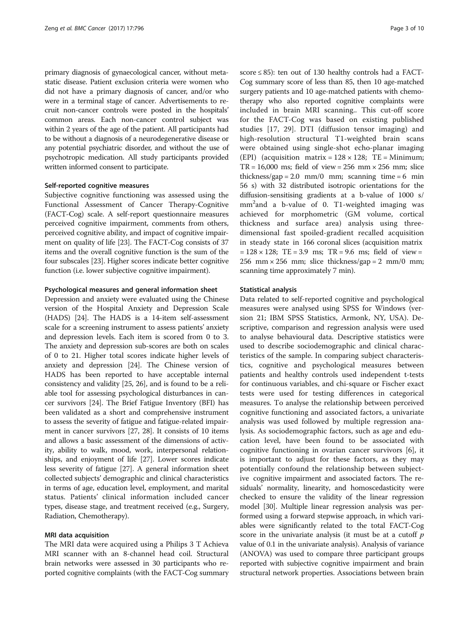primary diagnosis of gynaecological cancer, without metastatic disease. Patient exclusion criteria were women who did not have a primary diagnosis of cancer, and/or who were in a terminal stage of cancer. Advertisements to recruit non-cancer controls were posted in the hospitals' common areas. Each non-cancer control subject was within 2 years of the age of the patient. All participants had to be without a diagnosis of a neurodegenerative disease or any potential psychiatric disorder, and without the use of psychotropic medication. All study participants provided written informed consent to participate.

### Self-reported cognitive measures

Subjective cognitive functioning was assessed using the Functional Assessment of Cancer Therapy-Cognitive (FACT-Cog) scale. A self-report questionnaire measures perceived cognitive impairment, comments from others, perceived cognitive ability, and impact of cognitive impairment on quality of life [\[23](#page-9-0)]. The FACT-Cog consists of 37 items and the overall cognitive function is the sum of the four subscales [[23](#page-9-0)]. Higher scores indicate better cognitive function (i.e. lower subjective cognitive impairment).

#### Psychological measures and general information sheet

Depression and anxiety were evaluated using the Chinese version of the Hospital Anxiety and Depression Scale (HADS) [[24\]](#page-9-0). The HADS is a 14-item self-assessment scale for a screening instrument to assess patients' anxiety and depression levels. Each item is scored from 0 to 3. The anxiety and depression sub-scores are both on scales of 0 to 21. Higher total scores indicate higher levels of anxiety and depression [\[24\]](#page-9-0). The Chinese version of HADS has been reported to have acceptable internal consistency and validity [[25, 26](#page-9-0)], and is found to be a reliable tool for assessing psychological disturbances in cancer survivors [\[24\]](#page-9-0). The Brief Fatigue Inventory (BFI) has been validated as a short and comprehensive instrument to assess the severity of fatigue and fatigue-related impairment in cancer survivors [\[27](#page-9-0), [28](#page-9-0)]. It consists of 10 items and allows a basic assessment of the dimensions of activity, ability to walk, mood, work, interpersonal relationships, and enjoyment of life [\[27\]](#page-9-0). Lower scores indicate less severity of fatigue [\[27\]](#page-9-0). A general information sheet collected subjects' demographic and clinical characteristics in terms of age, education level, employment, and marital status. Patients' clinical information included cancer types, disease stage, and treatment received (e.g., Surgery, Radiation, Chemotherapy).

### MRI data acquisition

The MRI data were acquired using a Philips 3 T Achieva MRI scanner with an 8-channel head coil. Structural brain networks were assessed in 30 participants who reported cognitive complaints (with the FACT-Cog summary

score ≤ 85): ten out of 130 healthy controls had a FACT-Cog summary score of less than 85, then 10 age-matched surgery patients and 10 age-matched patients with chemotherapy who also reported cognitive complaints were included in brain MRI scanning.. This cut-off score for the FACT-Cog was based on existing published studies [\[17](#page-8-0), [29](#page-9-0)]. DTI (diffusion tensor imaging) and high-resolution structural T1-weighted brain scans were obtained using single-shot echo-planar imaging (EPI) (acquisition matrix =  $128 \times 128$ ; TE = Minimum;  $TR = 16,000$  ms; field of view = 256 mm × 256 mm; slice thickness/gap = 2.0 mm/0 mm; scanning time = 6 min 56 s) with 32 distributed isotropic orientations for the diffusion-sensitising gradients at a b-value of 1000 s/ mm2 and a b-value of 0. T1-weighted imaging was achieved for morphometric (GM volume, cortical thickness and surface area) analysis using threedimensional fast spoiled-gradient recalled acquisition in steady state in 166 coronal slices (acquisition matrix  $= 128 \times 128$ ; TE = 3.9 ms; TR = 9.6 ms; field of view = 256 mm  $\times$  256 mm; slice thickness/gap = 2 mm/0 mm; scanning time approximately 7 min).

### Statistical analysis

Data related to self-reported cognitive and psychological measures were analysed using SPSS for Windows (version 21; IBM SPSS Statistics, Armonk, NY, USA). Descriptive, comparison and regression analysis were used to analyse behavioural data. Descriptive statistics were used to describe sociodemographic and clinical characteristics of the sample. In comparing subject characteristics, cognitive and psychological measures between patients and healthy controls used independent t-tests for continuous variables, and chi-square or Fischer exact tests were used for testing differences in categorical measures. To analyse the relationship between perceived cognitive functioning and associated factors, a univariate analysis was used followed by multiple regression analysis. As sociodemographic factors, such as age and education level, have been found to be associated with cognitive functioning in ovarian cancer survivors [\[6](#page-8-0)], it is important to adjust for these factors, as they may potentially confound the relationship between subjective cognitive impairment and associated factors. The residuals' normality, linearity, and homoscedasticity were checked to ensure the validity of the linear regression model [\[30](#page-9-0)]. Multiple linear regression analysis was performed using a forward stepwise approach, in which variables were significantly related to the total FACT-Cog score in the univariate analysis (it must be at a cutoff  $p$ value of 0.1 in the univariate analysis). Analysis of variance (ANOVA) was used to compare three participant groups reported with subjective cognitive impairment and brain structural network properties. Associations between brain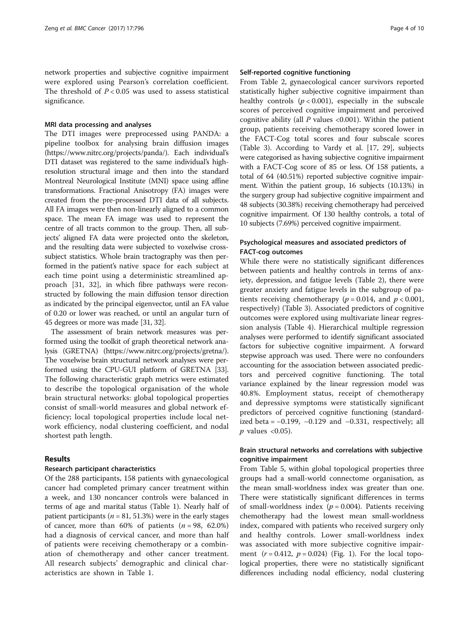network properties and subjective cognitive impairment were explored using Pearson's correlation coefficient. The threshold of  $P < 0.05$  was used to assess statistical significance.

# MRI data processing and analyses

The DTI images were preprocessed using PANDA: a pipeline toolbox for analysing brain diffusion images ([https://www.nitrc.org/projects/panda/\)](https://www.nitrc.org/projects/panda). Each individual's DTI dataset was registered to the same individual's highresolution structural image and then into the standard Montreal Neurological Institute (MNI) space using affine transformations. Fractional Anisotropy (FA) images were created from the pre-processed DTI data of all subjects. All FA images were then non-linearly aligned to a common space. The mean FA image was used to represent the centre of all tracts common to the group. Then, all subjects' aligned FA data were projected onto the skeleton, and the resulting data were subjected to voxelwise crosssubject statistics. Whole brain tractography was then performed in the patient's native space for each subject at each time point using a deterministic streamlined approach [[31, 32](#page-9-0)], in which fibre pathways were reconstructed by following the main diffusion tensor direction as indicated by the principal eigenvector, until an FA value of 0.20 or lower was reached, or until an angular turn of 45 degrees or more was made [[31](#page-9-0), [32\]](#page-9-0).

The assessment of brain network measures was performed using the toolkit of graph theoretical network analysis (GRETNA) ([https://www.nitrc.org/projects/gretna/](https://www.nitrc.org/projects/gretna)). The voxelwise brain structural network analyses were performed using the CPU-GUI platform of GRETNA [\[33](#page-9-0)]. The following characteristic graph metrics were estimated to describe the topological organisation of the whole brain structural networks: global topological properties consist of small-world measures and global network efficiency; local topological properties include local network efficiency, nodal clustering coefficient, and nodal shortest path length.

# Results

## Research participant characteristics

Of the 288 participants, 158 patients with gynaecological cancer had completed primary cancer treatment within a week, and 130 noncancer controls were balanced in terms of age and marital status (Table [1](#page-4-0)). Nearly half of patient participants ( $n = 81, 51.3\%$ ) were in the early stages of cancer, more than  $60\%$  of patients ( $n = 98$ , 62.0%) had a diagnosis of cervical cancer, and more than half of patients were receiving chemotherapy or a combination of chemotherapy and other cancer treatment. All research subjects' demographic and clinical characteristics are shown in Table [1.](#page-4-0)

# Self-reported cognitive functioning

From Table [2](#page-4-0), gynaecological cancer survivors reported statistically higher subjective cognitive impairment than healthy controls  $(p < 0.001)$ , especially in the subscale scores of perceived cognitive impairment and perceived cognitive ability (all  $P$  values <0.001). Within the patient group, patients receiving chemotherapy scored lower in the FACT-Cog total scores and four subscale scores (Table [3\)](#page-5-0). According to Vardy et al. [\[17,](#page-8-0) [29\]](#page-9-0), subjects were categorised as having subjective cognitive impairment with a FACT-Cog score of 85 or less. Of 158 patients, a total of 64 (40.51%) reported subjective cognitive impairment. Within the patient group, 16 subjects (10.13%) in the surgery group had subjective cognitive impairment and 48 subjects (30.38%) receiving chemotherapy had perceived cognitive impairment. Of 130 healthy controls, a total of 10 subjects (7.69%) perceived cognitive impairment.

# Psychological measures and associated predictors of FACT-cog outcomes

While there were no statistically significant differences between patients and healthy controls in terms of anxiety, depression, and fatigue levels (Table [2](#page-4-0)), there were greater anxiety and fatigue levels in the subgroup of patients receiving chemotherapy ( $p = 0.014$ , and  $p < 0.001$ , respectively) (Table [3\)](#page-5-0). Associated predictors of cognitive outcomes were explored using multivariate linear regression analysis (Table [4\)](#page-5-0). Hierarchical multiple regression analyses were performed to identify significant associated factors for subjective cognitive impairment. A forward stepwise approach was used. There were no confounders accounting for the association between associated predictors and perceived cognitive functioning. The total variance explained by the linear regression model was 40.8%. Employment status, receipt of chemotherapy and depressive symptoms were statistically significant predictors of perceived cognitive functioning (standardized beta =  $-0.199$ ,  $-0.129$  and  $-0.331$ , respectively; all  $p$  values < 0.05).

# Brain structural networks and correlations with subjective cognitive impairment

From Table [5,](#page-6-0) within global topological properties three groups had a small-world connectome organisation, as the mean small-worldness index was greater than one. There were statistically significant differences in terms of small-worldness index ( $p = 0.004$ ). Patients receiving chemotherapy had the lowest mean small-worldness index, compared with patients who received surgery only and healthy controls. Lower small-worldness index was associated with more subjective cognitive impairment  $(r = 0.412, p = 0.024)$  (Fig. [1](#page-6-0)). For the local topological properties, there were no statistically significant differences including nodal efficiency, nodal clustering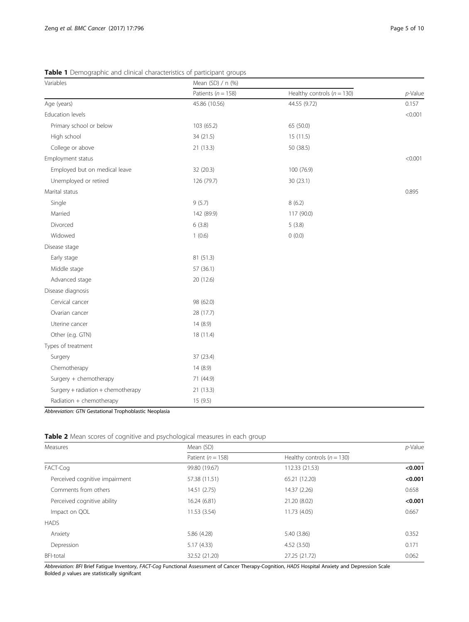<span id="page-4-0"></span>Table 1 Demographic and clinical characteristics of participant groups

| Variables                          | Mean (SD) / n (%)      |                                |            |
|------------------------------------|------------------------|--------------------------------|------------|
|                                    | Patients ( $n = 158$ ) | Healthy controls ( $n = 130$ ) | $p$ -Value |
| Age (years)                        | 45.86 (10.56)          | 44.55 (9.72)                   | 0.157      |
| Education levels                   |                        |                                | < 0.001    |
| Primary school or below            | 103 (65.2)             | 65 (50.0)                      |            |
| High school                        | 34 (21.5)              | 15(11.5)                       |            |
| College or above                   | 21 (13.3)              | 50 (38.5)                      |            |
| Employment status                  |                        |                                | < 0.001    |
| Employed but on medical leave      | 32 (20.3)              | 100 (76.9)                     |            |
| Unemployed or retired              | 126 (79.7)             | 30 (23.1)                      |            |
| Marital status                     |                        |                                | 0.895      |
| Single                             | 9(5.7)                 | 8(6.2)                         |            |
| Married                            | 142 (89.9)             | 117 (90.0)                     |            |
| Divorced                           | 6(3.8)                 | 5(3.8)                         |            |
| Widowed                            | 1(0.6)                 | 0(0.0)                         |            |
| Disease stage                      |                        |                                |            |
| Early stage                        | 81 (51.3)              |                                |            |
| Middle stage                       | 57 (36.1)              |                                |            |
| Advanced stage                     | 20 (12.6)              |                                |            |
| Disease diagnosis                  |                        |                                |            |
| Cervical cancer                    | 98 (62.0)              |                                |            |
| Ovarian cancer                     | 28 (17.7)              |                                |            |
| Uterine cancer                     | 14 (8.9)               |                                |            |
| Other (e.g. GTN)                   | 18 (11.4)              |                                |            |
| Types of treatment                 |                        |                                |            |
| Surgery                            | 37 (23.4)              |                                |            |
| Chemotherapy                       | 14(8.9)                |                                |            |
| Surgery + chemotherapy             | 71 (44.9)              |                                |            |
| Surgery + radiation + chemotherapy | 21(13.3)               |                                |            |
| Radiation + chemotherapy           | 15(9.5)                |                                |            |

Abbreviation: GTN Gestational Trophoblastic Neoplasia

Table 2 Mean scores of cognitive and psychological measures in each group

| Measures                       | Mean (SD)             |                                | p-Value |  |
|--------------------------------|-----------------------|--------------------------------|---------|--|
|                                | Patient ( $n = 158$ ) | Healthy controls ( $n = 130$ ) |         |  |
| FACT-Cog                       | 99.80 (19.67)         | 112.33 (21.53)                 | < 0.001 |  |
| Perceived cognitive impairment | 57.38 (11.51)         | 65.21 (12.20)                  | < 0.001 |  |
| Comments from others           | 14.51 (2.75)          | 14.37 (2.26)                   | 0.658   |  |
| Perceived cognitive ability    | 16.24(6.81)           | 21.20 (8.02)                   | < 0.001 |  |
| Impact on QOL                  | 11.53(3.54)           | 11.73 (4.05)                   | 0.667   |  |
| <b>HADS</b>                    |                       |                                |         |  |
| Anxiety                        | 5.86 (4.28)           | 5.40 (3.86)                    | 0.352   |  |
| Depression                     | 5.17(4.33)            | 4.52(3.50)                     | 0.171   |  |
| BFI-total                      | 32.52 (21.20)         | 27.25 (21.72)                  | 0.062   |  |

Abbreviation: BFI Brief Fatigue Inventory, FACT-Cog Functional Assessment of Cancer Therapy-Cognition, HADS Hospital Anxiety and Depression Scale Bolded  $p$  values are statistically signifcant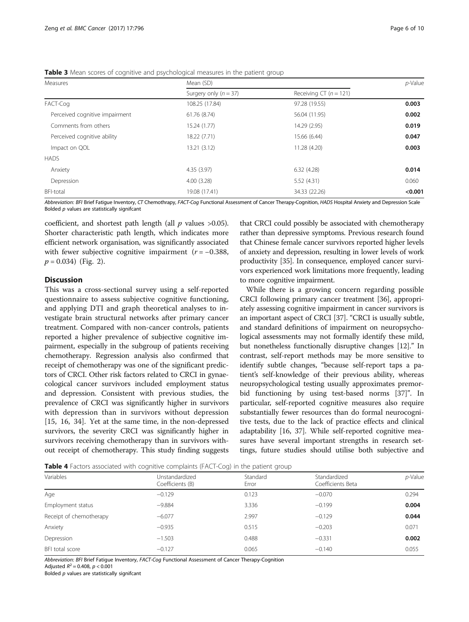| Measures                       | Mean (SD)               |                          | p-Value |
|--------------------------------|-------------------------|--------------------------|---------|
|                                | Surgery only $(n = 37)$ | Receiving CT $(n = 121)$ |         |
| FACT-Cog                       | 108.25 (17.84)          | 97.28 (19.55)            | 0.003   |
| Perceived cognitive impairment | 61.76 (8.74)            | 56.04 (11.95)            | 0.002   |
| Comments from others           | 15.24 (1.77)            | 14.29 (2.95)             | 0.019   |
| Perceived cognitive ability    | 18.22 (7.71)            | 15.66 (6.44)             | 0.047   |
| Impact on QOL                  | 13.21 (3.12)            | 11.28 (4.20)             | 0.003   |

<span id="page-5-0"></span>Table 3 Mean scores of cognitive and psychological measures in the patient group

BFI-total 19.08 (17.41) 34.33 (22.26) <0.001 Abbreviation: BFI Brief Fatigue Inventory, CT Chemothrapy, FACT-Cog Functional Assessment of Cancer Therapy-Cognition, HADS Hospital Anxiety and Depression Scale Bolded  $p$  values are statistically signifcant

Anxiety 4.35 (3.97) 6.32 (4.28) 0.014 Depression 4.00 (3.28) 5.52 (4.31) 0.060

coefficient, and shortest path length (all  $p$  values >0.05). Shorter characteristic path length, which indicates more efficient network organisation, was significantly associated with fewer subjective cognitive impairment  $(r = -0.388,$  $p = 0.034$ ) (Fig. [2](#page-7-0)).

# Discussion

HADS

This was a cross-sectional survey using a self-reported questionnaire to assess subjective cognitive functioning, and applying DTI and graph theoretical analyses to investigate brain structural networks after primary cancer treatment. Compared with non-cancer controls, patients reported a higher prevalence of subjective cognitive impairment, especially in the subgroup of patients receiving chemotherapy. Regression analysis also confirmed that receipt of chemotherapy was one of the significant predictors of CRCI. Other risk factors related to CRCI in gynaecological cancer survivors included employment status and depression. Consistent with previous studies, the prevalence of CRCI was significantly higher in survivors with depression than in survivors without depression [[15, 16,](#page-8-0) [34\]](#page-9-0). Yet at the same time, in the non-depressed survivors, the severity CRCI was significantly higher in survivors receiving chemotherapy than in survivors without receipt of chemotherapy. This study finding suggests

that CRCI could possibly be associated with chemotherapy rather than depressive symptoms. Previous research found that Chinese female cancer survivors reported higher levels of anxiety and depression, resulting in lower levels of work productivity [[35](#page-9-0)]. In consequence, employed cancer survivors experienced work limitations more frequently, leading to more cognitive impairment.

While there is a growing concern regarding possible CRCI following primary cancer treatment [\[36\]](#page-9-0), appropriately assessing cognitive impairment in cancer survivors is an important aspect of CRCI [[37](#page-9-0)]. "CRCI is usually subtle, and standard definitions of impairment on neuropsychological assessments may not formally identify these mild, but nonetheless functionally disruptive changes [[12](#page-8-0)]." In contrast, self-report methods may be more sensitive to identify subtle changes, "because self-report taps a patient's self-knowledge of their previous ability, whereas neuropsychological testing usually approximates premorbid functioning by using test-based norms [[37](#page-9-0)]". In particular, self-reported cognitive measures also require substantially fewer resources than do formal neurocognitive tests, due to the lack of practice effects and clinical adaptability [\[16](#page-8-0), [37](#page-9-0)]. While self-reported cognitive measures have several important strengths in research settings, future studies should utilise both subjective and

**Table 4** Factors associated with cognitive complaints (FACT-Cog) in the patient group

| Variables               | Unstandardized<br>Coefficients (B) | Standard<br>Error | Standardized<br>Coefficients Beta | p-Value |
|-------------------------|------------------------------------|-------------------|-----------------------------------|---------|
| Age                     | $-0.129$                           | 0.123             | $-0.070$                          | 0.294   |
| Employment status       | $-9.884$                           | 3.336             | $-0.199$                          | 0.004   |
| Receipt of chemotherapy | $-6.077$                           | 2.997             | $-0.129$                          | 0.044   |
| Anxiety                 | $-0.935$                           | 0.515             | $-0.203$                          | 0.071   |
| Depression              | $-1.503$                           | 0.488             | $-0.331$                          | 0.002   |
| BFI total score         | $-0.127$                           | 0.065             | $-0.140$                          | 0.055   |

Abbreviation: BFI Brief Fatigue Inventory, FACT-Cog Functional Assessment of Cancer Therapy-Cognition

Adjusted  $R^2 = 0.408$ ,  $p < 0.001$ 

Bolded  $p$  values are statistically signifcant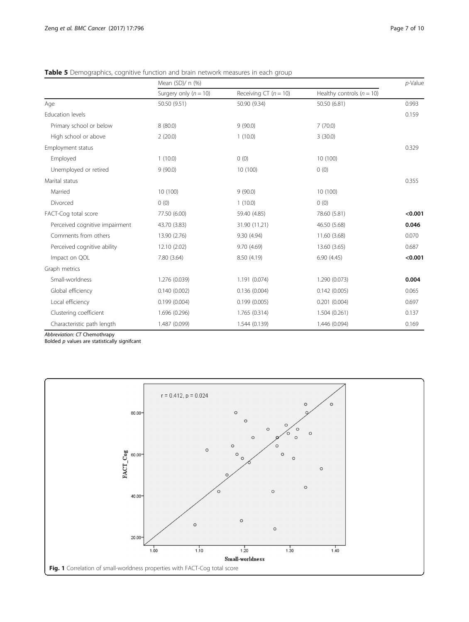|                                | Mean (SD)/ n (%)        |                         |                             | $p$ -Value |
|--------------------------------|-------------------------|-------------------------|-----------------------------|------------|
|                                | Surgery only $(n = 10)$ | Receiving CT $(n = 10)$ | Healthy controls $(n = 10)$ |            |
| Age                            | 50.50 (9.51)            | 50.90 (9.34)            | 50.50 (6.81)                | 0.993      |
| <b>Education levels</b>        |                         |                         |                             | 0.159      |
| Primary school or below        | 8(80.0)                 | 9(90.0)                 | 7(70.0)                     |            |
| High school or above           | 2(20.0)                 | 1(10.0)                 | 3(30.0)                     |            |
| Employment status              |                         |                         |                             | 0.329      |
| Employed                       | 1(10.0)                 | 0(0)                    | 10 (100)                    |            |
| Unemployed or retired          | 9(90.0)                 | 10 (100)                | 0(0)                        |            |
| Marital status                 |                         |                         |                             | 0.355      |
| Married                        | 10 (100)                | 9(90.0)                 | 10 (100)                    |            |
| Divorced                       | 0(0)                    | 1(10.0)                 | 0(0)                        |            |
| FACT-Cog total score           | 77.50 (6.00)            | 59.40 (4.85)            | 78.60 (5.81)                | < 0.001    |
| Perceived cognitive impairment | 43.70 (3.83)            | 31.90 (11.21)           | 46.50 (5.68)                | 0.046      |
| Comments from others           | 13.90 (2.76)            | 9.30 (4.94)             | 11.60 (3.68)                | 0.070      |
| Perceived cognitive ability    | 12.10 (2.02)            | 9.70 (4.69)             | 13.60 (3.65)                | 0.687      |
| Impact on QOL                  | 7.80 (3.64)             | 8.50 (4.19)             | 6.90(4.45)                  | < 0.001    |
| Graph metrics                  |                         |                         |                             |            |
| Small-worldness                | 1.276 (0.039)           | 1.191 (0.074)           | 1.290 (0.073)               | 0.004      |
| Global efficiency              | 0.140(0.002)            | 0.136(0.004)            | 0.142(0.005)                | 0.065      |
| Local efficiency               | 0.199(0.004)            | 0.199(0.005)            | 0.201(0.004)                | 0.697      |
| Clustering coefficient         | 1.696 (0.296)           | 1.765 (0.314)           | 1.504 (0.261)               | 0.137      |
| Characteristic path length     | 1.487 (0.099)           | 1.544 (0.139)           | 1.446 (0.094)               | 0.169      |

<span id="page-6-0"></span>Table 5 Demographics, cognitive function and brain network measures in each group

Abbreviation: CT Chemothrapy<br>Bolded navalues are statisticall

Bolded p values are statistically signifcant

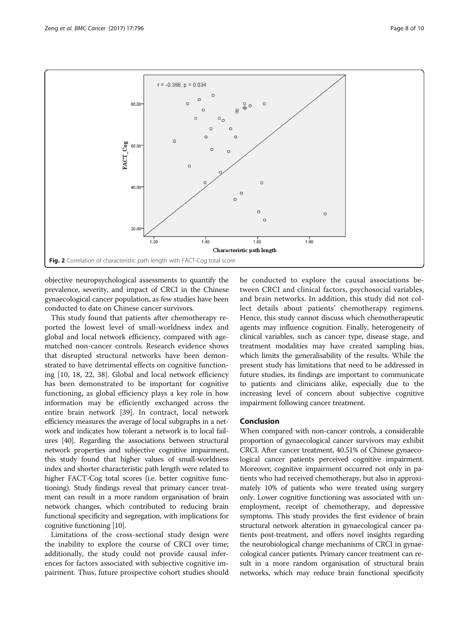<span id="page-7-0"></span>

objective neuropsychological assessments to quantify the prevalence, severity, and impact of CRCI in the Chinese gynaecological cancer population, as few studies have been conducted to date on Chinese cancer survivors.

This study found that patients after chemotherapy reported the lowest level of small-worldness index and global and local network efficiency, compared with agematched non-cancer controls. Research evidence shows that disrupted structural networks have been demonstrated to have detrimental effects on cognitive functioning [\[10](#page-8-0), [18,](#page-8-0) [22, 38](#page-9-0)]. Global and local network efficiency has been demonstrated to be important for cognitive functioning, as global efficiency plays a key role in how information may be efficiently exchanged across the entire brain network [\[39](#page-9-0)]. In contract, local network efficiency measures the average of local subgraphs in a network and indicates how tolerant a network is to local failures [\[40\]](#page-9-0). Regarding the associations between structural network properties and subjective cognitive impairment, this study found that higher values of small-worldness index and shorter characteristic path length were related to higher FACT-Cog total scores (i.e. better cognitive functioning). Study findings reveal that primary cancer treatment can result in a more random organisation of brain network changes, which contributed to reducing brain functional specificity and segregation, with implications for cognitive functioning [[10](#page-8-0)].

Limitations of the cross-sectional study design were the inability to explore the course of CRCI over time; additionally, the study could not provide causal inferences for factors associated with subjective cognitive impairment. Thus, future prospective cohort studies should

be conducted to explore the causal associations between CRCI and clinical factors, psychosocial variables, and brain networks. In addition, this study did not collect details about patients' chemotherapy regimens. Hence, this study cannot discuss which chemotherapeutic agents may influence cognition. Finally, heterogeneity of clinical variables, such as cancer type, disease stage, and treatment modalities may have created sampling bias, which limits the generalisability of the results. While the present study has limitations that need to be addressed in future studies, its findings are important to communicate to patients and clinicians alike, especially due to the increasing level of concern about subjective cognitive impairment following cancer treatment.

# Conclusion

When compared with non-cancer controls, a considerable proportion of gynaecological cancer survivors may exhibit CRCI. After cancer treatment, 40.51% of Chinese gynaecological cancer patients perceived cognitive impairment. Moreover, cognitive impairment occurred not only in patients who had received chemotherapy, but also in approximately 10% of patients who were treated using surgery only. Lower cognitive functioning was associated with unemployment, receipt of chemotherapy, and depressive symptoms. This study provides the first evidence of brain structural network alteration in gynaecological cancer patients post-treatment, and offers novel insights regarding the neurobiological change mechanisms of CRCI in gynaecological cancer patients. Primary cancer treatment can result in a more random organisation of structural brain networks, which may reduce brain functional specificity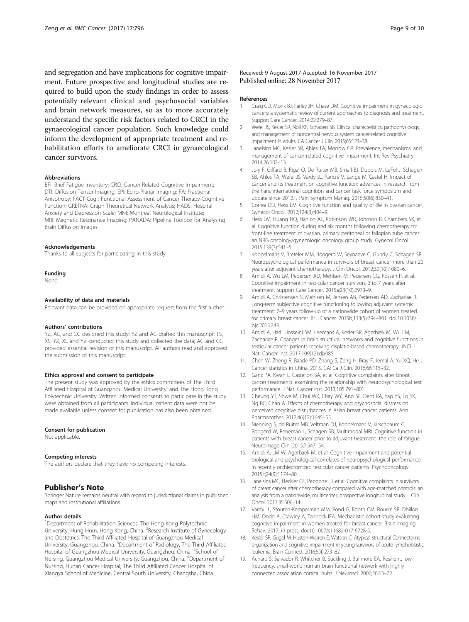<span id="page-8-0"></span>and segregation and have implications for cognitive impairment. Future prospective and longitudinal studies are required to build upon the study findings in order to assess potentially relevant clinical and psychosocial variables and brain network measures, so as to more accurately understand the specific risk factors related to CRCI in the gynaecological cancer population. Such knowledge could inform the development of appropriate treatment and rehabilitation efforts to ameliorate CRCI in gynaecological cancer survivors.

#### Abbreviations

BFI: Brief Fatigue Inventory; CRCI: Cancer-Related Cognitive Impairment; DTI: Diffusion Tensor Imaging; EPI: Echo-Planar Imaging; FA: Fractional Anisotropy; FACT-Cog : Functional Assessment of Cancer Therapy-Cognitive Function; GRETNA: Graph Theoretical Network Analysis; HADS: Hospital Anxiety and Depression Scale; MNI: Montreal Neurological Institute; MRI: Magnetic Resonance Imaging; PANADA: Pipeline Toolbox for Analysing Brain Diffusion Images

#### Acknowledgements

Thanks to all subjects for participating in this study.

# Funding

None.

### Availability of data and materials

Relevant data can be provided on appropriate request from the first author.

#### Authors' contributions

YZ, AC, and CC designed this study; YZ and AC drafted this manuscript; TS, XS, YZ, XL and YZ conducted this study and collected the data; AC and CC provided essential revision of this manuscript. All authors read and approved the submission of this manuscript.

#### Ethics approval and consent to participate

The present study was approved by the ethics committees of The Third Affiliated Hospital of Guangzhou Medical University; and The Hong Kong Polytechnic University. Written informed consents to participate in the study were obtained from all participants. Individual patient data were not be made available unless consent for publication has also been obtained.

#### Consent for publication

Not applicable.

#### Competing interests

The authors declare that they have no competing interests.

# Publisher's Note

Springer Nature remains neutral with regard to jurisdictional claims in published maps and institutional affiliations.

# Author details

<sup>1</sup>Department of Rehabilitation Sciences, The Hong Kong Polytechnic University, Hung Hom, Hong Kong, China. <sup>2</sup>Research Institute of Gynecology and Obstetrics, The Third Affiliated Hospital of Guangzhou Medical University, Guangzhou, China. <sup>3</sup>Department of Radiology, The Third Affiliated Hospital of Guangzhou Medical University, Guangzhou, China. <sup>4</sup>School of Nursing, Guangzhou Medical University, Guangzhou, China. <sup>5</sup>Department of Nursing, Hunan Cancer Hospital, The Third Affiliated Cancer Hospital of Xiangya School of Medicine, Central South University, Changsha, China.

### Received: 9 August 2017 Accepted: 16 November 2017 Published online: 28 November 2017

#### References

- 1. Craig CD, Monk BJ, Farley JH, Chase DM. Cognitive impairment in gynecologic cancers: a systematic review of current approaches to diagnosis and treatment. Support Care Cancer. 2014;22:279–87.
- 2. Wefel JS, Kesler SR, Noll KR, Schagen SB. Clinical characteristics, pathophysiology, and management of noncentral nervous system cancer-related cognitive impairment in adults. CA Cancer J Clin. 2015;65:123–38.
- 3. Janelsins MC, Kesler SR, Ahles TA, Morrow GR. Prevalence, mechanisms, and management of cancer-related cognitive impairment. Int Rev Psychiatry. 2014;26:102–13.
- 4. Joly F, Giffard B, Rigal O, De Ruiter MB, Small BJ, Dubois M, LeFel J, Schagen SB, Ahles TA, Wefel JS, Vardy JL, Pancré V, Lange M, Castel H. Impact of cancer and its treatment on cognitive function: advances in research from the Paris international cognition and cancer task force symposium and update since 2012. J Pain Symptom Manag. 2015;50(6):830–41.
- 5. Correa DD, Hess LM. Cognitive function and quality of life in ovarian cancer. Gynecol Oncol. 2012;124(3):404–9.
- Hess LM, Huang HQ, Hanlon AL, Robinson WR, Johnson R, Chambers SK, et al. Cognitive function during and six months following chemotherapy for front-line treatment of ovarian, primary peritoneal or fallopian tube cancer: an NRG oncology/gynecologic oncology group study. Gynecol Oncol. 2015;139(3):541–5.
- 7. Koppelmans V, Breteler MM, Boogerd W, Seynaeve C, Gundy C, Schagen SB. Neuropsychological performance in survivors of breast cancer more than 20 years after adjuvant chemotherapy. J Clin Oncol. 2012;30(10):1080–6.
- 8. Amidi A, Wu LM, Pedersen AD, Mehlsen M, Pedersen CG, Rossen P, et al. Cognitive impairment in testicular cancer survivors 2 to 7 years after treatment. Support Care Cancer. 2015a;23(10):2973–9.
- 9. Amidi A, Christensen S, Mehlsen M, Jensen AB, Pedersen AD, Zachariae R. Long-term subjective cognitive functioning following adjuvant systemic treatment: 7–9 years follow-up of a nationwide cohort of women treated for primary breast cancer. Br J Cancer. 2015b;113(5):794–801. doi:[10.1038/](http://dx.doi.org/10.1038/bjc.2015.243) [bjc.2015.243](http://dx.doi.org/10.1038/bjc.2015.243).
- 10. Amidi A, Hadi Hosseini SM, Leemans A, Kesler SR, Agerbæk M, Wu LM, Zachariae R. Changes in brain structural networks and cognitive functions in testicular cancer patients receiving cisplatin-based chemotherapy. JNCI J Natl Cancer Inst. 2017;109(12):djx085.
- 11. Chen W, Zheng R, Baade PD, Zhang S, Zeng H, Bray F, Jemal A, Yu XQ, He J. Cancer statistics in China, 2015. CA: Ca J Clin. 2016;66:115–32.
- 12. Ganz PA, Kwan L, Castellon SA, et al. Cognitive complaints after breast cancer treatments: examining the relationship with neuropsychological test performance. J Natl Cancer Inst. 2013;105:791–801.
- 13. Cheung YT, Shwe M, Chui WK, Chay WY, Ang SF, Dent RA, Yap YS, Lo SK, Ng RC, Chan A. Effects of chemotherapy and psychosocial distress on perceived cognitive disturbances in Asian breast cancer patients. Ann Pharmacother. 2012;46(12):1645–55.
- 14. Menning S, de Ruiter MB, Veltman DJ, Koppelmans V, Kirschbaum C, Boogerd W, Reneman L, Schagen SB, Multimodal MRI. Cognitive function in patients with breast cancer prior to adjuvant treatment–the role of fatigue. Neuroimage Clin. 2015;7:547–54.
- 15. Amidi A, LM W, Agerbaek M, et al. Cognitive impairment and potential biological and psychological correlates of neuropsychological performance in recently orchiectomized testicular cancer patients. Psychooncology. 2015c;24(9):1174–80.
- 16. Janelsins MC, Heckler CE, Peppone LJ, et al. Cognitive complaints in survivors of breast cancer after chemotherapy compared with age-matched controls: an analysis from a nationwide, multicenter, prospective longitudinal study. J Clin Oncol. 2017;35:506–14.
- 17. Vardy JL, Stouten-Kemperman MM, Pond G, Booth CM, Rourke SB, Dhillon HM, Dodd A, Crawley A, Tannock IFA. Mechanistic cohort study evaluating cognitive impairment in women treated for breast cancer. Brain Imaging Behav. 2017; in press; doi:[10.1007/s11682-017-9728-5.](http://dx.doi.org/10.1007/s11682-017-9728-5.)
- 18. Kesler SR, Gugel M, Huston-Warren E, Watson C. Atypical structural Connectome organization and cognitive impairment in young survivors of acute lymphoblastic leukemia. Brain Connect. 2016;6(4):273–82.
- 19. Achard S, Salvador R, Whitcher B, Suckling J, Bullmore EA. Resilient, lowfrequency, small-world human brain functional network with highly connected association cortical hubs. J Neurosci. 2006;26:63–72.